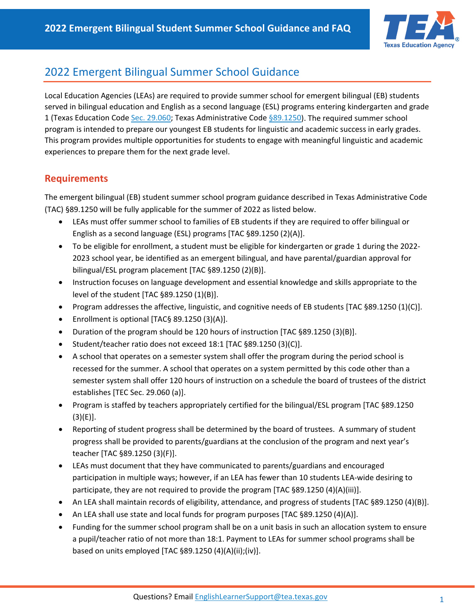

## 2022 Emergent Bilingual Summer School Guidance

Local Education Agencies (LEAs) are required to provide summer school for emergent bilingual (EB) students served in bilingual education and English as a second language (ESL) programs entering kindergarten and grade 1 (Texas Education Code [Sec. 29.060;](https://www.txel.org/specialprograms/?tab=tab11) Texas Administrative Code [§89.1250\)](https://www.txel.org/commissionerrules/?tab=tab17). The required summer school program is intended to prepare our youngest EB students for linguistic and academic success in early grades. This program provides multiple opportunities for students to engage with meaningful linguistic and academic experiences to prepare them for the next grade level.

## **Requirements**

The emergent bilingual (EB) student summer school program guidance described in Texas Administrative Code (TAC) §89.1250 will be fully applicable for the summer of 2022 as listed below.

- LEAs must offer summer school to families of EB students if they are required to offer bilingual or English as a second language (ESL) programs [TAC §89.1250 (2)(A)].
- To be eligible for enrollment, a student must be eligible for kindergarten or grade 1 during the 2022- 2023 school year, be identified as an emergent bilingual, and have parental/guardian approval for bilingual/ESL program placement [TAC §89.1250 (2)(B)].
- Instruction focuses on language development and essential knowledge and skills appropriate to the level of the student [TAC §89.1250 (1)(B)].
- Program addresses the affective, linguistic, and cognitive needs of EB students [TAC §89.1250 (1)(C)].
- Enrollment is optional [TAC§ 89.1250 (3)(A)].
- Duration of the program should be 120 hours of instruction [TAC §89.1250 (3)(B)].
- Student/teacher ratio does not exceed 18:1 [TAC §89.1250 (3)(C)].
- A school that operates on a semester system shall offer the program during the period school is recessed for the summer. A school that operates on a system permitted by this code other than a semester system shall offer 120 hours of instruction on a schedule the board of trustees of the district establishes [TEC Sec. 29.060 (a)].
- Program is staffed by teachers appropriately certified for the bilingual/ESL program [TAC §89.1250  $(3)(E)$ ].
- Reporting of student progress shall be determined by the board of trustees. A summary of student progress shall be provided to parents/guardians at the conclusion of the program and next year's teacher [TAC §89.1250 (3)(F)].
- LEAs must document that they have communicated to parents/guardians and encouraged participation in multiple ways; however, if an LEA has fewer than 10 students LEA-wide desiring to participate, they are not required to provide the program [TAC §89.1250 (4)(A)(iii)].
- An LEA shall maintain records of eligibility, attendance, and progress of students [TAC §89.1250 (4)(B)].
- An LEA shall use state and local funds for program purposes [TAC §89.1250 (4)(A)].
- Funding for the summer school program shall be on a unit basis in such an allocation system to ensure a pupil/teacher ratio of not more than 18:1. Payment to LEAs for summer school programs shall be based on units employed [TAC §89.1250 (4)(A)(ii);(iv)].